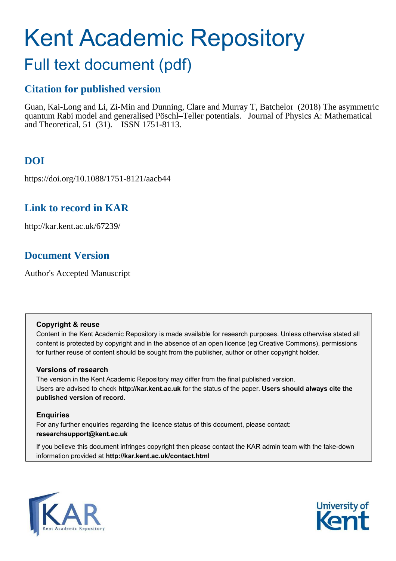# Kent Academic Repository

## Full text document (pdf)

## **Citation for published version**

Guan, Kai-Long and Li, Zi-Min and Dunning, Clare and Murray T, Batchelor (2018) The asymmetric quantum Rabi model and generalised Pöschl–Teller potentials. Journal of Physics A: Mathematical and Theoretical, 51 (31). ISSN 1751-8113.

## **DOI**

https://doi.org/10.1088/1751-8121/aacb44

## **Link to record in KAR**

http://kar.kent.ac.uk/67239/

## **Document Version**

Author's Accepted Manuscript

#### **Copyright & reuse**

Content in the Kent Academic Repository is made available for research purposes. Unless otherwise stated all content is protected by copyright and in the absence of an open licence (eg Creative Commons), permissions for further reuse of content should be sought from the publisher, author or other copyright holder.

#### **Versions of research**

The version in the Kent Academic Repository may differ from the final published version. Users are advised to check **http://kar.kent.ac.uk** for the status of the paper. **Users should always cite the published version of record.**

#### **Enquiries**

For any further enquiries regarding the licence status of this document, please contact: **researchsupport@kent.ac.uk**

If you believe this document infringes copyright then please contact the KAR admin team with the take-down information provided at **http://kar.kent.ac.uk/contact.html**



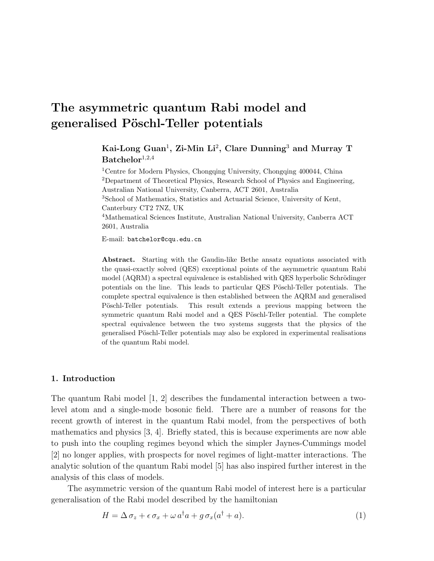## The asymmetric quantum Rabi model and generalised Pöschl-Teller potentials

Kai-Long Guan $^1$ , Zi-Min Li $^2$ , Clare Dunning $^3$  and Murray T  $Batchelor<sup>1,2,4</sup>$ 

<sup>1</sup>Centre for Modern Physics, Chongqing University, Chongqing 400044, China <sup>2</sup>Department of Theoretical Physics, Research School of Physics and Engineering, Australian National University, Canberra, ACT 2601, Australia <sup>3</sup>School of Mathematics, Statistics and Actuarial Science, University of Kent, Canterbury CT2 7NZ, UK <sup>4</sup>Mathematical Sciences Institute, Australian National University, Canberra ACT 2601, Australia

E-mail: batchelor@cqu.edu.cn

Abstract. Starting with the Gaudin-like Bethe ansatz equations associated with the quasi-exactly solved (QES) exceptional points of the asymmetric quantum Rabi model  $(AQRM)$  a spectral equivalence is established with  $QES$  hyperbolic Schrödinger potentials on the line. This leads to particular QES Pöschl-Teller potentials. The complete spectral equivalence is then established between the AQRM and generalised Pöschl-Teller potentials. This result extends a previous mapping between the symmetric quantum Rabi model and a QES Pöschl-Teller potential. The complete spectral equivalence between the two systems suggests that the physics of the generalised Pöschl-Teller potentials may also be explored in experimental realisations of the quantum Rabi model.

#### 1. Introduction

The quantum Rabi model [1, 2] describes the fundamental interaction between a twolevel atom and a single-mode bosonic field. There are a number of reasons for the recent growth of interest in the quantum Rabi model, from the perspectives of both mathematics and physics [3, 4]. Briefly stated, this is because experiments are now able to push into the coupling regimes beyond which the simpler Jaynes-Cummings model [2] no longer applies, with prospects for novel regimes of light-matter interactions. The analytic solution of the quantum Rabi model [5] has also inspired further interest in the analysis of this class of models.

The asymmetric version of the quantum Rabi model of interest here is a particular generalisation of the Rabi model described by the hamiltonian

$$
H = \Delta \sigma_z + \epsilon \sigma_x + \omega a^\dagger a + g \sigma_x (a^\dagger + a). \tag{1}
$$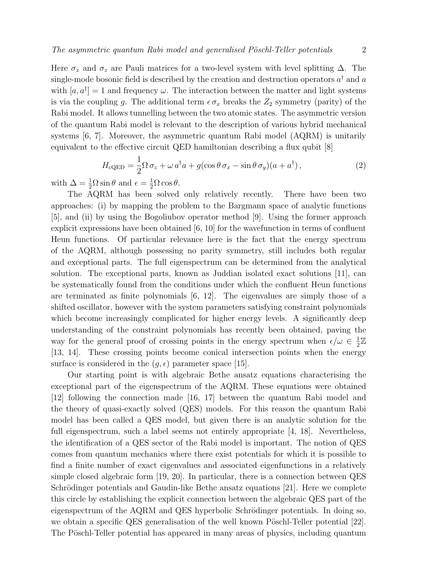Here  $\sigma_x$  and  $\sigma_z$  are Pauli matrices for a two-level system with level splitting  $\Delta$ . The single-mode bosonic field is described by the creation and destruction operators  $a^{\dagger}$  and  $a$ with  $[a, a^{\dagger}] = 1$  and frequency  $\omega$ . The interaction between the matter and light systems is via the coupling g. The additional term  $\epsilon \sigma_x$  breaks the  $Z_2$  symmetry (parity) of the Rabi model. It allows tunnelling between the two atomic states. The asymmetric version of the quantum Rabi model is relevant to the description of various hybrid mechanical systems [6, 7]. Moreover, the asymmetric quantum Rabi model (AQRM) is unitarily equivalent to the effective circuit QED hamiltonian describing a flux qubit [8]

$$
H_{\text{cQED}} = \frac{1}{2}\Omega \,\sigma_z + \omega \,a^\dagger a + g(\cos\theta \,\sigma_x - \sin\theta \,\sigma_y)(a + a^\dagger) \,,\tag{2}
$$

with  $\Delta = \frac{1}{2}\Omega \sin \theta$  and  $\epsilon = \frac{1}{2}\Omega \cos \theta$ .

The AQRM has been solved only relatively recently. There have been two approaches: (i) by mapping the problem to the Bargmann space of analytic functions [5], and (ii) by using the Bogoliubov operator method [9]. Using the former approach explicit expressions have been obtained  $[6, 10]$  for the wavefunction in terms of confluent Heun functions. Of particular relevance here is the fact that the energy spectrum of the AQRM, although possessing no parity symmetry, still includes both regular and exceptional parts. The full eigenspectrum can be determined from the analytical solution. The exceptional parts, known as Juddian isolated exact solutions [11], can be systematically found from the conditions under which the confluent Heun functions are terminated as finite polynomials [6, 12]. The eigenvalues are simply those of a shifted oscillator, however with the system parameters satisfying constraint polynomials which become increasingly complicated for higher energy levels. A significantly deep understanding of the constraint polynomials has recently been obtained, paving the way for the general proof of crossing points in the energy spectrum when  $\epsilon/\omega \in \frac{1}{2}$  $\frac{1}{2}\mathbb{Z}$ [13, 14]. These crossing points become conical intersection points when the energy surface is considered in the  $(g, \epsilon)$  parameter space [15].

Our starting point is with algebraic Bethe ansatz equations characterising the exceptional part of the eigenspectrum of the AQRM. These equations were obtained [12] following the connection made [16, 17] between the quantum Rabi model and the theory of quasi-exactly solved (QES) models. For this reason the quantum Rabi model has been called a QES model, but given there is an analytic solution for the full eigenspectrum, such a label seems not entirely appropriate [4, 18]. Nevertheless, the identification of a QES sector of the Rabi model is important. The notion of QES comes from quantum mechanics where there exist potentials for which it is possible to find a finite number of exact eigenvalues and associated eigenfunctions in a relatively simple closed algebraic form [19, 20]. In particular, there is a connection between QES Schrödinger potentials and Gaudin-like Bethe ansatz equations  $[21]$ . Here we complete this circle by establishing the explicit connection between the algebraic QES part of the eigenspectrum of the AQRM and QES hyperbolic Schrödinger potentials. In doing so, we obtain a specific QES generalisation of the well known Pöschl-Teller potential [22]. The Pöschl-Teller potential has appeared in many areas of physics, including quantum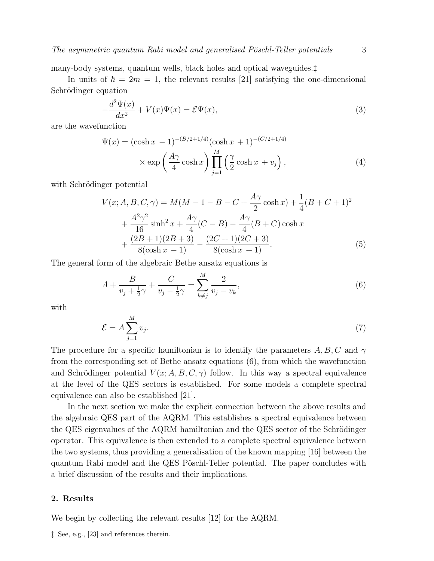many-body systems, quantum wells, black holes and optical waveguides.‡

In units of  $\hbar = 2m = 1$ , the relevant results [21] satisfying the one-dimensional Schrödinger equation

$$
-\frac{d^2\Psi(x)}{dx^2} + V(x)\Psi(x) = \mathcal{E}\Psi(x),\tag{3}
$$

are the wavefunction

$$
\Psi(x) = (\cosh x - 1)^{-(B/2 + 1/4)} (\cosh x + 1)^{-(C/2 + 1/4)} \times \exp\left(\frac{A\gamma}{4}\cosh x\right) \prod_{j=1}^{M} \left(\frac{\gamma}{2}\cosh x + v_j\right),\tag{4}
$$

with Schrödinger potential

$$
V(x; A, B, C, \gamma) = M(M - 1 - B - C + \frac{A\gamma}{2}\cosh x) + \frac{1}{4}(B + C + 1)^2
$$
  
+ 
$$
\frac{A^2\gamma^2}{16}\sinh^2 x + \frac{A\gamma}{4}(C - B) - \frac{A\gamma}{4}(B + C)\cosh x
$$
  
+ 
$$
\frac{(2B + 1)(2B + 3)}{8(\cosh x - 1)} - \frac{(2C + 1)(2C + 3)}{8(\cosh x + 1)}.
$$
 (5)

The general form of the algebraic Bethe ansatz equations is

$$
A + \frac{B}{v_j + \frac{1}{2}\gamma} + \frac{C}{v_j - \frac{1}{2}\gamma} = \sum_{k \neq j}^{M} \frac{2}{v_j - v_k},\tag{6}
$$

with

$$
\mathcal{E} = A \sum_{j=1}^{M} v_j.
$$
 (7)

The procedure for a specific hamiltonian is to identify the parameters  $A, B, C$  and  $\gamma$ from the corresponding set of Bethe ansatz equations (6), from which the wavefunction and Schrödinger potential  $V(x; A, B, C, \gamma)$  follow. In this way a spectral equivalence at the level of the QES sectors is established. For some models a complete spectral equivalence can also be established [21].

In the next section we make the explicit connection between the above results and the algebraic QES part of the AQRM. This establishes a spectral equivalence between the QES eigenvalues of the AQRM hamiltonian and the QES sector of the Schrödinger operator. This equivalence is then extended to a complete spectral equivalence between the two systems, thus providing a generalisation of the known mapping [16] between the quantum Rabi model and the QES Pöschl-Teller potential. The paper concludes with a brief discussion of the results and their implications.

#### 2. Results

We begin by collecting the relevant results [12] for the AQRM.

‡ See, e.g., [23] and references therein.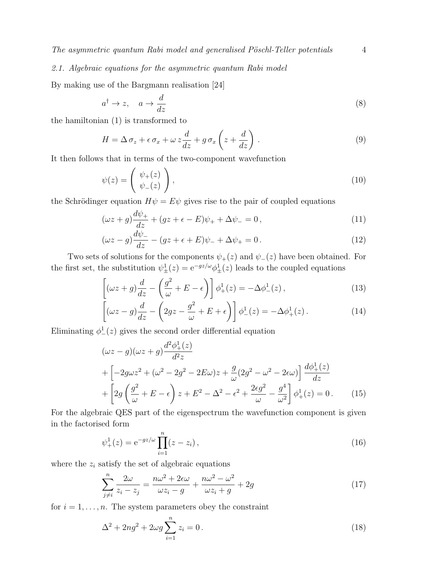#### 2.1. Algebraic equations for the asymmetric quantum Rabi model

By making use of the Bargmann realisation [24]

$$
a^{\dagger} \to z, \quad a \to \frac{d}{dz} \tag{8}
$$

the hamiltonian (1) is transformed to

$$
H = \Delta \sigma_z + \epsilon \sigma_x + \omega z \frac{d}{dz} + g \sigma_x \left( z + \frac{d}{dz} \right) . \tag{9}
$$

It then follows that in terms of the two-component wavefunction

$$
\psi(z) = \begin{pmatrix} \psi_+(z) \\ \psi_-(z) \end{pmatrix},\tag{10}
$$

the Schrödinger equation  $H\psi = E\psi$  gives rise to the pair of coupled equations

$$
(\omega z + g)\frac{d\psi_+}{dz} + (gz + \epsilon - E)\psi_+ + \Delta\psi_- = 0, \qquad (11)
$$

$$
(\omega z - g)\frac{d\psi_{-}}{dz} - (gz + \epsilon + E)\psi_{-} + \Delta\psi_{+} = 0.
$$
\n(12)

Two sets of solutions for the components  $\psi_+(z)$  and  $\psi_-(z)$  have been obtained. For the first set, the substitution  $\psi_{\pm}^1(z) = e^{-gz/\omega} \phi_{\pm}^1(z)$  leads to the coupled equations

$$
\left[ (\omega z + g) \frac{d}{dz} - \left( \frac{g^2}{\omega} + E - \epsilon \right) \right] \phi_+^1(z) = -\Delta \phi_-^1(z) \,, \tag{13}
$$

$$
\left[ (\omega z - g) \frac{d}{dz} - \left( 2gz - \frac{g^2}{\omega} + E + \epsilon \right) \right] \phi_-^1(z) = -\Delta \phi_+^1(z) \,. \tag{14}
$$

Eliminating  $\phi^1_-(z)$  gives the second order differential equation

$$
(\omega z - g)(\omega z + g)\frac{d^2\phi_+^1(z)}{d^2 z}
$$
  
+ 
$$
\left[ -2g\omega z^2 + (\omega^2 - 2g^2 - 2E\omega)z + \frac{g}{\omega}(2g^2 - \omega^2 - 2\epsilon\omega) \right] \frac{d\phi_+^1(z)}{dz}
$$
  
+ 
$$
\left[ 2g\left(\frac{g^2}{\omega} + E - \epsilon\right)z + E^2 - \Delta^2 - \epsilon^2 + \frac{2\epsilon g^2}{\omega} - \frac{g^4}{\omega^2} \right] \phi_+^1(z) = 0.
$$
 (15)

For the algebraic QES part of the eigenspectrum the wavefunction component is given in the factorised form

$$
\psi_{+}^{1}(z) = e^{-gz/\omega} \prod_{i=1}^{n} (z - z_{i}), \qquad (16)
$$

where the  $z_i$  satisfy the set of algebraic equations

$$
\sum_{j \neq i}^{n} \frac{2\omega}{z_i - z_j} = \frac{n\omega^2 + 2\epsilon\omega}{\omega z_i - g} + \frac{n\omega^2 - \omega^2}{\omega z_i + g} + 2g \tag{17}
$$

for  $i = 1, \ldots, n$ . The system parameters obey the constraint

$$
\Delta^2 + 2ng^2 + 2\omega g \sum_{i=1}^n z_i = 0.
$$
\n(18)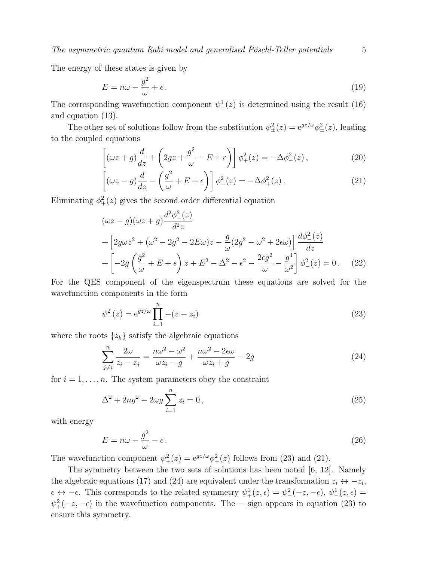$The$  asymmetric quantum Rabi model and generalised Pöschl-Teller potentials  $5$ 

The energy of these states is given by

$$
E = n\omega - \frac{g^2}{\omega} + \epsilon. \tag{19}
$$

The corresponding wavefunction component  $\psi^1_-(z)$  is determined using the result (16) and equation (13).

The other set of solutions follow from the substitution  $\psi_{\pm}^2(z) = e^{gz/\omega} \phi_{\pm}^2(z)$ , leading to the coupled equations

$$
\left[ (\omega z + g) \frac{d}{dz} + \left( 2gz + \frac{g^2}{\omega} - E + \epsilon \right) \right] \phi_+^2(z) = -\Delta \phi_-^2(z) , \qquad (20)
$$

$$
\left[ (\omega z - g) \frac{d}{dz} - \left( \frac{g^2}{\omega} + E + \epsilon \right) \right] \phi^2_{-}(z) = -\Delta \phi^2_{+}(z) \,. \tag{21}
$$

Eliminating  $\phi^2_+(z)$  gives the second order differential equation

$$
(\omega z - g)(\omega z + g)\frac{d^2\phi_{-}^2(z)}{d^2 z}
$$
  
+ 
$$
\left[2g\omega z^2 + (\omega^2 - 2g^2 - 2E\omega)z - \frac{g}{\omega}(2g^2 - \omega^2 + 2\epsilon\omega)\right]\frac{d\phi_{-}^2(z)}{dz}
$$
  
+ 
$$
\left[-2g\left(\frac{g^2}{\omega} + E + \epsilon\right)z + E^2 - \Delta^2 - \epsilon^2 - \frac{2\epsilon g^2}{\omega} - \frac{g^4}{\omega^2}\right]\phi_{-}^2(z) = 0. \quad (22)
$$

For the QES component of the eigenspectrum these equations are solved for the wavefunction components in the form

$$
\psi_{-}^{2}(z) = e^{gz/\omega} \prod_{i=1}^{n} -(z - z_{i})
$$
\n(23)

where the roots  $\{z_k\}$  satisfy the algebraic equations

$$
\sum_{j\neq i}^{n} \frac{2\omega}{z_i - z_j} = \frac{n\omega^2 - \omega^2}{\omega z_i - g} + \frac{n\omega^2 - 2\epsilon\omega}{\omega z_i + g} - 2g
$$
\n(24)

for  $i = 1, \ldots, n$ . The system parameters obey the constraint

$$
\Delta^2 + 2ng^2 - 2\omega g \sum_{i=1}^n z_i = 0,
$$
\n(25)

with energy

$$
E = n\omega - \frac{g^2}{\omega} - \epsilon. \tag{26}
$$

The wavefunction component  $\psi_+^2(z) = e^{gz/\omega} \phi_+^2(z)$  follows from (23) and (21).

The symmetry between the two sets of solutions has been noted [6, 12]. Namely the algebraic equations (17) and (24) are equivalent under the transformation  $z_i \leftrightarrow -z_i$ ,  $\epsilon \leftrightarrow -\epsilon$ . This corresponds to the related symmetry  $\psi^1_+(z,\epsilon) = \psi^2_-(-z,-\epsilon)$ ,  $\psi^1_-(z,\epsilon) =$  $\psi^2_+(-z,-\epsilon)$  in the wavefunction components. The – sign appears in equation (23) to ensure this symmetry.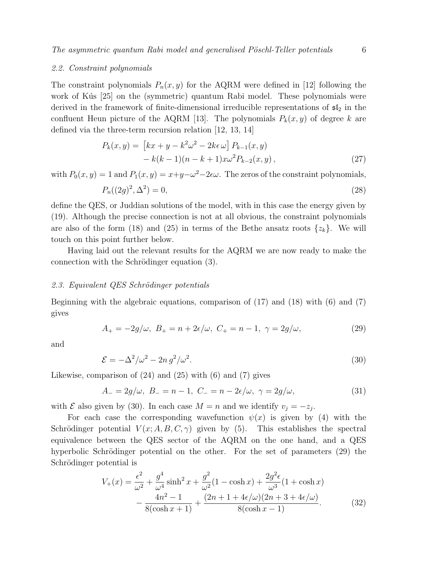#### 2.2. Constraint polynomials

The constraint polynomials  $P_n(x, y)$  for the AQRM were defined in [12] following the work of Kús [25] on the (symmetric) quantum Rabi model. These polynomials were derived in the framework of finite-dimensional irreducible representations of  $\mathfrak{sl}_2$  in the confluent Heun picture of the AQRM [13]. The polynomials  $P_k(x, y)$  of degree k are defined via the three-term recursion relation [12, 13, 14]

$$
P_k(x,y) = [kx + y - k^2 \omega^2 - 2k\epsilon \omega] P_{k-1}(x,y)
$$
  
- k(k-1)(n-k+1)x\omega^2 P\_{k-2}(x,y), (27)

with  $P_0(x, y) = 1$  and  $P_1(x, y) = x+y-\omega^2-2\epsilon\omega$ . The zeros of the constraint polynomials,

$$
P_n((2g)^2, \Delta^2) = 0,\t\t(28)
$$

define the QES, or Juddian solutions of the model, with in this case the energy given by (19). Although the precise connection is not at all obvious, the constraint polynomials are also of the form (18) and (25) in terms of the Bethe ansatz roots  $\{z_k\}$ . We will touch on this point further below.

Having laid out the relevant results for the AQRM we are now ready to make the connection with the Schrödinger equation  $(3)$ .

#### 2.3. Equivalent QES Schrödinger potentials

Beginning with the algebraic equations, comparison of (17) and (18) with (6) and (7) gives

$$
A_{+} = -2g/\omega, \ B_{+} = n + 2\epsilon/\omega, \ C_{+} = n - 1, \ \gamma = 2g/\omega,
$$
 (29)

and

$$
\mathcal{E} = -\Delta^2/\omega^2 - 2n g^2/\omega^2. \tag{30}
$$

Likewise, comparison of  $(24)$  and  $(25)$  with  $(6)$  and  $(7)$  gives

$$
A_{-}=2g/\omega, B_{-}=n-1, C_{-}=n-2\epsilon/\omega, \gamma=2g/\omega,
$$
\n(31)

with  $\mathcal E$  also given by (30). In each case  $M = n$  and we identify  $v_j = -z_j$ .

For each case the corresponding wavefunction  $\psi(x)$  is given by (4) with the Schrödinger potential  $V(x; A, B, C, \gamma)$  given by (5). This establishes the spectral equivalence between the QES sector of the AQRM on the one hand, and a QES hyperbolic Schrödinger potential on the other. For the set of parameters  $(29)$  the Schrödinger potential is

$$
V_{+}(x) = \frac{\epsilon^{2}}{\omega^{2}} + \frac{g^{4}}{\omega^{4}} \sinh^{2} x + \frac{g^{2}}{\omega^{2}} (1 - \cosh x) + \frac{2g^{2} \epsilon}{\omega^{3}} (1 + \cosh x)
$$

$$
- \frac{4n^{2} - 1}{8(\cosh x + 1)} + \frac{(2n + 1 + 4\epsilon/\omega)(2n + 3 + 4\epsilon/\omega)}{8(\cosh x - 1)}.
$$
(32)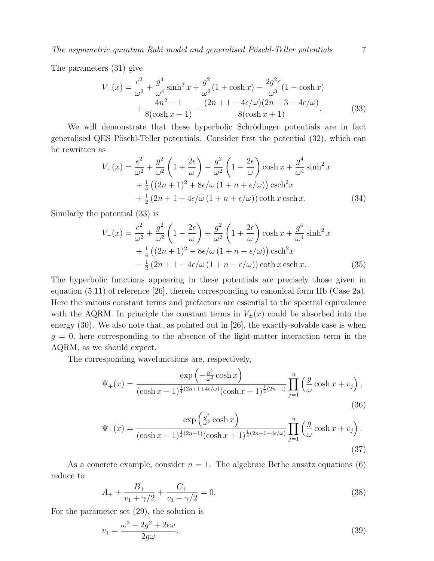The parameters (31) give

$$
V_{-}(x) = \frac{\epsilon^{2}}{\omega^{2}} + \frac{g^{4}}{\omega^{4}} \sinh^{2} x + \frac{g^{2}}{\omega^{2}} (1 + \cosh x) - \frac{2g^{2} \epsilon}{\omega^{3}} (1 - \cosh x) + \frac{4n^{2} - 1}{8(\cosh x - 1)} - \frac{(2n + 1 - 4\epsilon/\omega)(2n + 3 - 4\epsilon/\omega)}{8(\cosh x + 1)}.
$$
 (33)

We will demonstrate that these hyperbolic Schrödinger potentials are in fact generalised QES Pöschl-Teller potentials. Consider first the potential  $(32)$ , which can be rewritten as

$$
V_{+}(x) = \frac{\epsilon^{2}}{\omega^{2}} + \frac{g^{2}}{\omega^{2}} \left( 1 + \frac{2\epsilon}{\omega} \right) - \frac{g^{2}}{\omega^{2}} \left( 1 - \frac{2\epsilon}{\omega} \right) \cosh x + \frac{g^{4}}{\omega^{4}} \sinh^{2} x
$$
  
+  $\frac{1}{4} \left( (2n + 1)^{2} + 8\epsilon/\omega (1 + n + \epsilon/\omega) \right) \operatorname{csch}^{2} x$   
+  $\frac{1}{2} (2n + 1 + 4\epsilon/\omega (1 + n + \epsilon/\omega)) \coth x \operatorname{csch} x.$  (34)

Similarly the potential (33) is

$$
V_{-}(x) = \frac{\epsilon^{2}}{\omega^{2}} + \frac{g^{2}}{\omega^{2}} \left(1 - \frac{2\epsilon}{\omega}\right) + \frac{g^{2}}{\omega^{2}} \left(1 + \frac{2\epsilon}{\omega}\right) \cosh x + \frac{g^{4}}{\omega^{4}} \sinh^{2} x
$$
  
+ 
$$
\frac{1}{4} \left((2n+1)^{2} - 8\epsilon/\omega\left(1 + n - \epsilon/\omega\right)\right) \operatorname{csch}^{2} x
$$

$$
- \frac{1}{2} \left(2n + 1 - 4\epsilon/\omega\left(1 + n - \epsilon/\omega\right)\right) \coth x \operatorname{csch} x.
$$
(35)

The hyperbolic functions appearing in these potentials are precisely those given in equation (5.11) of reference [26], therein corresponding to canonical form IIb (Case 2a). Here the various constant terms and prefactors are essential to the spectral equivalence with the AQRM. In principle the constant terms in  $V_{\pm}(x)$  could be absorbed into the energy (30). We also note that, as pointed out in [26], the exactly-solvable case is when  $g = 0$ , here corresponding to the absence of the light-matter interaction term in the AQRM, as we should expect.

The corresponding wavefunctions are, respectively,

$$
\Psi_{+}(x) = \frac{\exp\left(-\frac{g^{2}}{\omega^{2}}\cosh x\right)}{(\cosh x - 1)^{\frac{1}{4}(2n+1+4\epsilon/\omega)}(\cosh x + 1)^{\frac{1}{4}(2n-1)}} \prod_{j=1}^{n} \left(\frac{g}{\omega}\cosh x + v_{j}\right),\tag{36}
$$

$$
\Psi_{-}(x) = \frac{\exp\left(\frac{g^2}{\omega^2}\cosh x\right)}{(\cosh x - 1)^{\frac{1}{4}(2n-1)}(\cosh x + 1)^{\frac{1}{4}(2n+1-4\epsilon/\omega)}} \prod_{j=1}^{n} \left(\frac{g}{\omega}\cosh x + v_j\right). \tag{37}
$$

As a concrete example, consider  $n = 1$ . The algebraic Bethe ansatz equations (6) reduce to

$$
A_{+} + \frac{B_{+}}{v_1 + \gamma/2} + \frac{C_{+}}{v_1 - \gamma/2} = 0.
$$
\n(38)

For the parameter set (29), the solution is

$$
v_1 = \frac{\omega^2 - 2g^2 + 2\epsilon\omega}{2g\omega}.\tag{39}
$$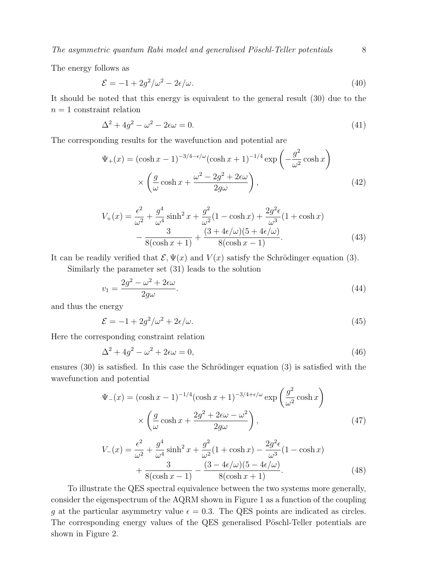The energy follows as

$$
\mathcal{E} = -1 + 2g^2/\omega^2 - 2\epsilon/\omega. \tag{40}
$$

It should be noted that this energy is equivalent to the general result (30) due to the  $n = 1$  constraint relation

$$
\Delta^2 + 4g^2 - \omega^2 - 2\epsilon\omega = 0. \tag{41}
$$

The corresponding results for the wavefunction and potential are

$$
\Psi_{+}(x) = (\cosh x - 1)^{-3/4 - \epsilon/\omega} (\cosh x + 1)^{-1/4} \exp\left(-\frac{g^{2}}{\omega^{2}} \cosh x\right)
$$

$$
\times \left(\frac{g}{\omega} \cosh x + \frac{\omega^{2} - 2g^{2} + 2\epsilon\omega}{2g\omega}\right), \tag{42}
$$

$$
V_{+}(x) = \frac{\epsilon^{2}}{\omega^{2}} + \frac{g^{4}}{\omega^{4}} \sinh^{2} x + \frac{g^{2}}{\omega^{2}} (1 - \cosh x) + \frac{2g^{2} \epsilon}{\omega^{3}} (1 + \cosh x)
$$

$$
- \frac{3}{8(\cosh x + 1)} + \frac{(3 + 4\epsilon/\omega)(5 + 4\epsilon/\omega)}{8(\cosh x - 1)}.
$$
(43)

It can be readily verified that  $\mathcal{E}, \Psi(x)$  and  $V(x)$  satisfy the Schrödinger equation (3).

Similarly the parameter set (31) leads to the solution

$$
v_1 = \frac{2g^2 - \omega^2 + 2\epsilon\omega}{2g\omega}.\tag{44}
$$

and thus the energy

$$
\mathcal{E} = -1 + 2g^2/\omega^2 + 2\epsilon/\omega. \tag{45}
$$

Here the corresponding constraint relation

$$
\Delta^2 + 4g^2 - \omega^2 + 2\epsilon\omega = 0,\tag{46}
$$

ensures  $(30)$  is satisfied. In this case the Schrödinger equation  $(3)$  is satisfied with the wavefunction and potential

$$
\Psi_{-}(x) = (\cosh x - 1)^{-1/4} (\cosh x + 1)^{-3/4 + \epsilon/\omega} \exp\left(\frac{g^2}{\omega^2} \cosh x\right)
$$

$$
\times \left(\frac{g}{\omega} \cosh x + \frac{2g^2 + 2\epsilon\omega - \omega^2}{2g\omega}\right),\tag{47}
$$

$$
V_{-}(x) = \frac{\epsilon^{2}}{\omega^{2}} + \frac{g^{4}}{\omega^{4}} \sinh^{2} x + \frac{g^{2}}{\omega^{2}} (1 + \cosh x) - \frac{2g^{2} \epsilon}{\omega^{3}} (1 - \cosh x) + \frac{3}{8(\cosh x - 1)} - \frac{(3 - 4\epsilon/\omega)(5 - 4\epsilon/\omega)}{8(\cosh x + 1)}.
$$
\n(48)

To illustrate the QES spectral equivalence between the two systems more generally, consider the eigenspectrum of the AQRM shown in Figure 1 as a function of the coupling q at the particular asymmetry value  $\epsilon = 0.3$ . The QES points are indicated as circles. The corresponding energy values of the QES generalised Pöschl-Teller potentials are shown in Figure 2.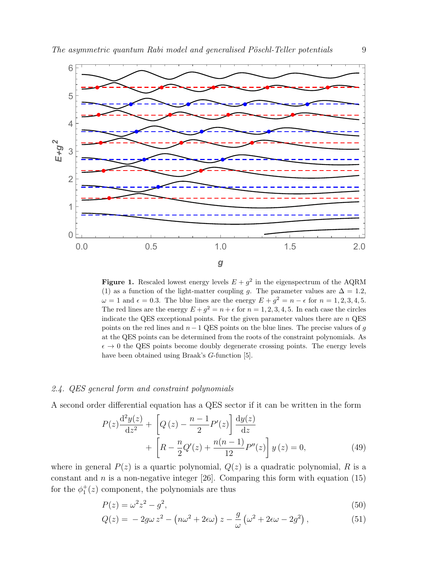

**Figure 1.** Rescaled lowest energy levels  $E + g^2$  in the eigenspectrum of the AQRM (1) as a function of the light-matter coupling g. The parameter values are  $\Delta = 1.2$ ,  $\omega = 1$  and  $\epsilon = 0.3$ . The blue lines are the energy  $E + g^2 = n - \epsilon$  for  $n = 1, 2, 3, 4, 5$ . The red lines are the energy  $E + g^2 = n + \epsilon$  for  $n = 1, 2, 3, 4, 5$ . In each case the circles indicate the QES exceptional points. For the given parameter values there are  $n$  QES points on the red lines and  $n - 1$  QES points on the blue lines. The precise values of g at the QES points can be determined from the roots of the constraint polynomials. As  $\epsilon \to 0$  the QES points become doubly degenerate crossing points. The energy levels have been obtained using Braak's G-function [5].

#### 2.4. QES general form and constraint polynomials

A second order differential equation has a QES sector if it can be written in the form

$$
P(z)\frac{d^2y(z)}{dz^2} + \left[Q(z) - \frac{n-1}{2}P'(z)\right]\frac{dy(z)}{dz} + \left[R - \frac{n}{2}Q'(z) + \frac{n(n-1)}{12}P''(z)\right]y(z) = 0,
$$
\n(49)

where in general  $P(z)$  is a quartic polynomial,  $Q(z)$  is a quadratic polynomial, R is a constant and n is a non-negative integer [26]. Comparing this form with equation  $(15)$ for the  $\phi_1^+(z)$  component, the polynomials are thus

$$
P(z) = \omega^2 z^2 - g^2,\tag{50}
$$

$$
Q(z) = -2g\omega z^2 - \left(n\omega^2 + 2\epsilon\omega\right)z - \frac{g}{\omega}\left(\omega^2 + 2\epsilon\omega - 2g^2\right),\tag{51}
$$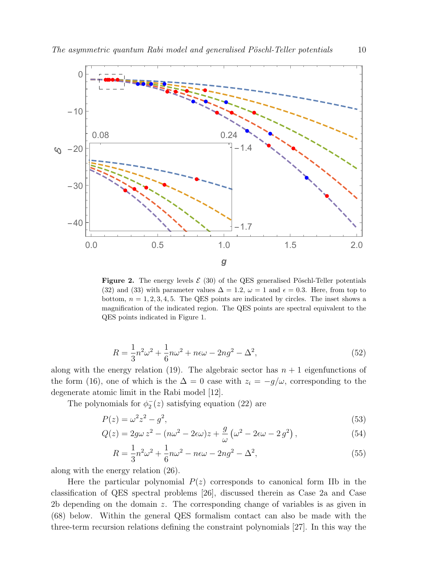

Figure 2. The energy levels  $\mathcal{E}(30)$  of the QES generalised Pöschl-Teller potentials (32) and (33) with parameter values  $\Delta = 1.2$ ,  $\omega = 1$  and  $\epsilon = 0.3$ . Here, from top to bottom,  $n = 1, 2, 3, 4, 5$ . The QES points are indicated by circles. The inset shows a magnification of the indicated region. The QES points are spectral equivalent to the QES points indicated in Figure 1.

$$
R = \frac{1}{3}n^2\omega^2 + \frac{1}{6}n\omega^2 + n\epsilon\omega - 2ng^2 - \Delta^2,
$$
\n(52)

along with the energy relation (19). The algebraic sector has  $n + 1$  eigenfunctions of the form (16), one of which is the  $\Delta = 0$  case with  $z_i = -g/\omega$ , corresponding to the degenerate atomic limit in the Rabi model [12].

The polynomials for  $\phi_2^ _2^-(z)$  satisfying equation (22) are

$$
P(z) = \omega^2 z^2 - g^2,\tag{53}
$$

$$
Q(z) = 2g\omega z^2 - (n\omega^2 - 2\epsilon\omega)z + \frac{g}{\omega}(\omega^2 - 2\epsilon\omega - 2g^2),
$$
\n(54)

$$
R = \frac{1}{3}n^2\omega^2 + \frac{1}{6}n\omega^2 - n\epsilon\omega - 2ng^2 - \Delta^2,
$$
\n(55)

along with the energy relation (26).

Here the particular polynomial  $P(z)$  corresponds to canonical form IIb in the classification of QES spectral problems [26], discussed therein as Case 2a and Case 2b depending on the domain  $z$ . The corresponding change of variables is as given in (68) below. Within the general QES formalism contact can also be made with the three-term recursion relations defining the constraint polynomials [27]. In this way the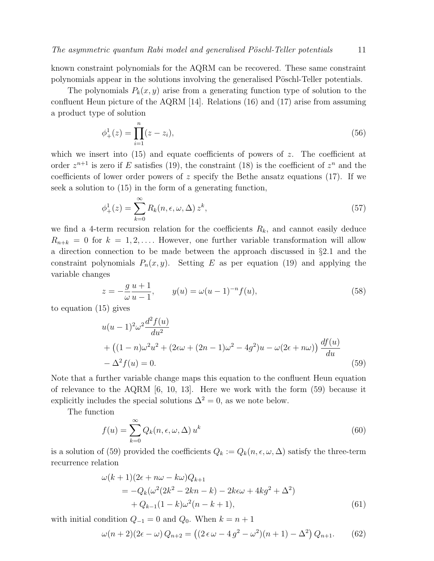known constraint polynomials for the AQRM can be recovered. These same constraint polynomials appear in the solutions involving the generalised Pöschl-Teller potentials.

The polynomials  $P_k(x, y)$  arise from a generating function type of solution to the confluent Heun picture of the AQRM [14]. Relations (16) and (17) arise from assuming a product type of solution

$$
\phi_+^1(z) = \prod_{i=1}^n (z - z_i),\tag{56}
$$

which we insert into  $(15)$  and equate coefficients of powers of z. The coefficient at order  $z^{n+1}$  is zero if E satisfies (19), the constraint (18) is the coefficient of  $z^n$  and the coefficients of lower order powers of  $z$  specify the Bethe ansatz equations (17). If we seek a solution to (15) in the form of a generating function,

$$
\phi_+^1(z) = \sum_{k=0}^{\infty} R_k(n, \epsilon, \omega, \Delta) z^k,
$$
\n(57)

we find a 4-term recursion relation for the coefficients  $R_k$ , and cannot easily deduce  $R_{n+k} = 0$  for  $k = 1, 2, \ldots$ . However, one further variable transformation will allow a direction connection to be made between the approach discussed in §2.1 and the constraint polynomials  $P_n(x, y)$ . Setting E as per equation (19) and applying the variable changes

$$
z = -\frac{g}{\omega} \frac{u+1}{u-1}, \qquad y(u) = \omega(u-1)^{-n} f(u), \tag{58}
$$

to equation (15) gives

$$
u(u - 1)^{2} \omega^{2} \frac{d^{2} f(u)}{du^{2}}
$$
  
+ 
$$
((1 - n)\omega^{2} u^{2} + (2\epsilon\omega + (2n - 1)\omega^{2} - 4g^{2})u - \omega(2\epsilon + n\omega)) \frac{df(u)}{du}
$$
  
- 
$$
\Delta^{2} f(u) = 0.
$$
 (59)

Note that a further variable change maps this equation to the confluent Heun equation of relevance to the AQRM [6, 10, 13]. Here we work with the form (59) because it explicitly includes the special solutions  $\Delta^2 = 0$ , as we note below.

The function

$$
f(u) = \sum_{k=0}^{\infty} Q_k(n, \epsilon, \omega, \Delta) u^k
$$
 (60)

is a solution of (59) provided the coefficients  $Q_k := Q_k(n, \epsilon, \omega, \Delta)$  satisfy the three-term recurrence relation

$$
\omega(k+1)(2\epsilon + n\omega - k\omega)Q_{k+1} \n= -Q_k(\omega^2(2k^2 - 2kn - k) - 2k\epsilon\omega + 4kg^2 + \Delta^2) \n+ Q_{k-1}(1-k)\omega^2(n-k+1),
$$
\n(61)

with initial condition  $Q_{-1} = 0$  and  $Q_0$ . When  $k = n + 1$ 

$$
\omega(n+2)(2\epsilon - \omega) Q_{n+2} = ((2\epsilon \omega - 4g^2 - \omega^2)(n+1) - \Delta^2) Q_{n+1}.
$$
 (62)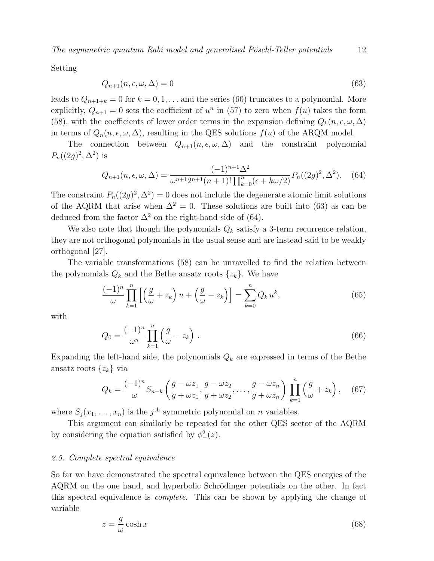The asymmetric quantum Rabi model and generalised Pöschl-Teller potentials  $12$ 

Setting

$$
Q_{n+1}(n, \epsilon, \omega, \Delta) = 0 \tag{63}
$$

leads to  $Q_{n+1+k} = 0$  for  $k = 0, 1, \ldots$  and the series (60) truncates to a polynomial. More explicitly,  $Q_{n+1} = 0$  sets the coefficient of  $u^n$  in (57) to zero when  $f(u)$  takes the form (58), with the coefficients of lower order terms in the expansion defining  $Q_k(n, \epsilon, \omega, \Delta)$ in terms of  $Q_n(n, \epsilon, \omega, \Delta)$ , resulting in the QES solutions  $f(u)$  of the ARQM model.

The connection between  $Q_{n+1}(n, \epsilon, \omega, \Delta)$  and the constraint polynomial  $P_n((2g)^2, \Delta^2)$  is

$$
Q_{n+1}(n, \epsilon, \omega, \Delta) = \frac{(-1)^{n+1} \Delta^2}{\omega^{n+1} 2^{n+1} (n+1)! \prod_{k=0}^n (\epsilon + k\omega/2)} P_n((2g)^2, \Delta^2). \tag{64}
$$

The constraint  $P_n((2g)^2, \Delta^2) = 0$  does not include the degenerate atomic limit solutions of the AQRM that arise when  $\Delta^2 = 0$ . These solutions are built into (63) as can be deduced from the factor  $\Delta^2$  on the right-hand side of (64).

We also note that though the polynomials  $Q_k$  satisfy a 3-term recurrence relation, they are not orthogonal polynomials in the usual sense and are instead said to be weakly orthogonal [27].

The variable transformations (58) can be unravelled to find the relation between the polynomials  $Q_k$  and the Bethe ansatz roots  $\{z_k\}$ . We have

$$
\frac{(-1)^n}{\omega} \prod_{k=1}^n \left[ \left( \frac{g}{\omega} + z_k \right) u + \left( \frac{g}{\omega} - z_k \right) \right] = \sum_{k=0}^n Q_k u^k,
$$
\n(65)

with

$$
Q_0 = \frac{(-1)^n}{\omega^n} \prod_{k=1}^n \left( \frac{g}{\omega} - z_k \right) . \tag{66}
$$

Expanding the left-hand side, the polynomials  $Q_k$  are expressed in terms of the Bethe ansatz roots  $\{z_k\}$  via

$$
Q_k = \frac{(-1)^n}{\omega} S_{n-k} \left( \frac{g - \omega z_1}{g + \omega z_1}, \frac{g - \omega z_2}{g + \omega z_2}, \dots, \frac{g - \omega z_n}{g + \omega z_n} \right) \prod_{k=1}^n \left( \frac{g}{\omega} + z_k \right), \quad (67)
$$

where  $S_j(x_1, \ldots, x_n)$  is the j<sup>th</sup> symmetric polynomial on *n* variables.

This argument can similarly be repeated for the other QES sector of the AQRM by considering the equation satisfied by  $\phi_-^2(z)$ .

#### 2.5. Complete spectral equivalence

So far we have demonstrated the spectral equivalence between the QES energies of the AQRM on the one hand, and hyperbolic Schrödinger potentials on the other. In fact this spectral equivalence is complete. This can be shown by applying the change of variable

$$
z = \frac{g}{\omega} \cosh x \tag{68}
$$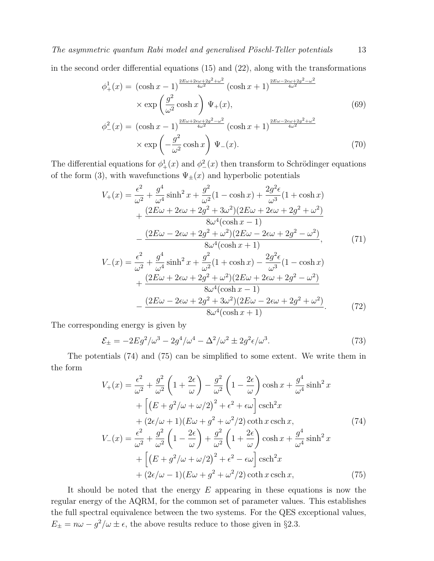in the second order differential equations (15) and (22), along with the transformations

$$
\phi_{+}^{1}(x) = (\cosh x - 1)^{\frac{2E\omega + 2\epsilon\omega + 2g^{2} + \omega^{2}}{4\omega^{2}}} (\cosh x + 1)^{\frac{2E\omega - 2\epsilon\omega + 2g^{2} - \omega^{2}}{4\omega^{2}}}
$$
  
×  $\exp\left(\frac{g^{2}}{\omega^{2}} \cosh x\right) \Psi_{+}(x),$   
\n
$$
\phi_{-}^{2}(x) = (\cosh x - 1)^{\frac{2E\omega + 2\epsilon\omega + 2g^{2} - \omega^{2}}{4\omega^{2}}} (\cosh x + 1)^{\frac{2E\omega - 2\epsilon\omega + 2g^{2} + \omega^{2}}{4\omega^{2}}}
$$
  
\n×  $\exp\left(-\frac{g^{2}}{\omega^{2}} \cosh x\right) \Psi_{-}(x).$  (70)

The differential equations for  $\phi^1_+(x)$  and  $\phi^2_-(x)$  then transform to Schrödinger equations of the form (3), with wavefunctions  $\Psi_{\pm}(x)$  and hyperbolic potentials

$$
V_{+}(x) = \frac{\epsilon^{2}}{\omega^{2}} + \frac{g^{4}}{\omega^{4}} \sinh^{2} x + \frac{g^{2}}{\omega^{2}} (1 - \cosh x) + \frac{2g^{2} \epsilon}{\omega^{3}} (1 + \cosh x)
$$
  
+ 
$$
\frac{(2E\omega + 2\epsilon\omega + 2g^{2} + 3\omega^{2})(2E\omega + 2\epsilon\omega + 2g^{2} + \omega^{2})}{8\omega^{4}(\cosh x - 1)}
$$
  
- 
$$
\frac{(2E\omega - 2\epsilon\omega + 2g^{2} + \omega^{2})(2E\omega - 2\epsilon\omega + 2g^{2} - \omega^{2})}{8\omega^{4}(\cosh x + 1)},
$$
  

$$
V_{-}(x) = \frac{\epsilon^{2}}{\omega^{2}} + \frac{g^{4}}{\omega^{4}} \sinh^{2} x + \frac{g^{2}}{\omega^{2}} (1 + \cosh x) - \frac{2g^{2} \epsilon}{\omega^{3}} (1 - \cosh x)
$$
  
+ 
$$
\frac{(2E\omega + 2\epsilon\omega + 2g^{2} + \omega^{2})(2E\omega + 2\epsilon\omega + 2g^{2} - \omega^{2})}{8\omega^{4}(\cosh x - 1)}
$$
  
- 
$$
\frac{(2E\omega - 2\epsilon\omega + 2g^{2} + 3\omega^{2})(2E\omega - 2\epsilon\omega + 2g^{2} + \omega^{2})}{8\omega^{4}(\cosh x + 1)}.
$$
 (72)

The corresponding energy is given by

$$
\mathcal{E}_{\pm} = -2Eg^2/\omega^3 - 2g^4/\omega^4 - \Delta^2/\omega^2 \pm 2g^2\epsilon/\omega^3.
$$
 (73)

The potentials (74) and (75) can be simplified to some extent. We write them in the form

$$
V_{+}(x) = \frac{\epsilon^{2}}{\omega^{2}} + \frac{g^{2}}{\omega^{2}} \left(1 + \frac{2\epsilon}{\omega}\right) - \frac{g^{2}}{\omega^{2}} \left(1 - \frac{2\epsilon}{\omega}\right) \cosh x + \frac{g^{4}}{\omega^{4}} \sinh^{2} x
$$
  
+  $\left[(E + g^{2}/\omega + \omega/2)^{2} + \epsilon^{2} + \epsilon\omega\right] \operatorname{csch}^{2} x$   
+  $(2\epsilon/\omega + 1)(E\omega + g^{2} + \omega^{2}/2) \coth x \operatorname{csch} x,$  (74)  

$$
V_{-}(x) = \frac{\epsilon^{2}}{\omega^{2}} + \frac{g^{2}}{\omega^{2}} \left(1 - \frac{2\epsilon}{\omega}\right) + \frac{g^{2}}{\omega^{2}} \left(1 + \frac{2\epsilon}{\omega}\right) \cosh x + \frac{g^{4}}{\omega^{4}} \sinh^{2} x
$$
  
+  $\left[(E + g^{2}/\omega + \omega/2)^{2} + \epsilon^{2} - \epsilon\omega\right] \operatorname{csch}^{2} x$   
+  $(2\epsilon/\omega - 1)(E\omega + g^{2} + \omega^{2}/2) \coth x \operatorname{csch} x,$  (75)

It should be noted that the energy  $E$  appearing in these equations is now the regular energy of the AQRM, for the common set of parameter values. This establishes the full spectral equivalence between the two systems. For the QES exceptional values,  $E_{\pm} = n\omega - g^2/\omega \pm \epsilon$ , the above results reduce to those given in §2.3.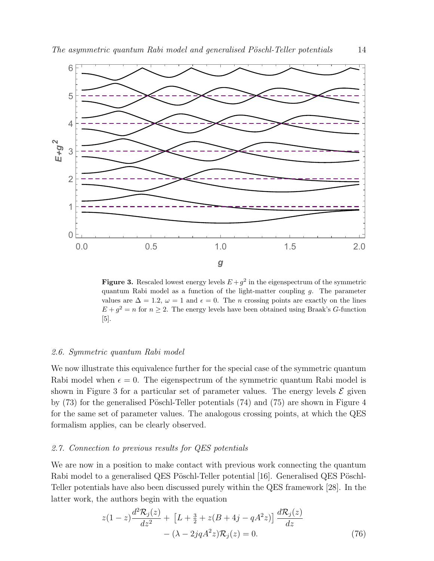

**Figure 3.** Rescaled lowest energy levels  $E + g^2$  in the eigenspectrum of the symmetric quantum Rabi model as a function of the light-matter coupling  $q$ . The parameter values are  $\Delta = 1.2$ ,  $\omega = 1$  and  $\epsilon = 0$ . The *n* crossing points are exactly on the lines  $E + g^2 = n$  for  $n \geq 2$ . The energy levels have been obtained using Braak's G-function [5].

#### 2.6. Symmetric quantum Rabi model

We now illustrate this equivalence further for the special case of the symmetric quantum Rabi model when  $\epsilon = 0$ . The eigenspectrum of the symmetric quantum Rabi model is shown in Figure 3 for a particular set of parameter values. The energy levels  $\mathcal E$  given by  $(73)$  for the generalised Pöschl-Teller potentials  $(74)$  and  $(75)$  are shown in Figure 4 for the same set of parameter values. The analogous crossing points, at which the QES formalism applies, can be clearly observed.

#### 2.7. Connection to previous results for QES potentials

We are now in a position to make contact with previous work connecting the quantum Rabi model to a generalised QES Pöschl-Teller potential [16]. Generalised QES Pöschl-Teller potentials have also been discussed purely within the QES framework [28]. In the latter work, the authors begin with the equation

$$
z(1-z)\frac{d^2 \mathcal{R}_j(z)}{dz^2} + \left[L + \frac{3}{2} + z(B+4j - qA^2 z)\right] \frac{d \mathcal{R}_j(z)}{dz} - (\lambda - 2jqA^2 z)\mathcal{R}_j(z) = 0.
$$
 (76)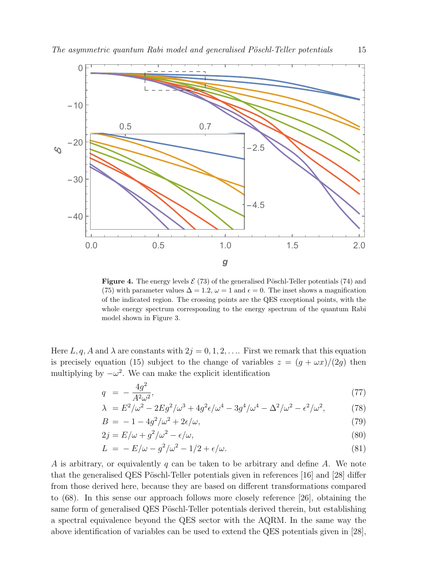

**Figure 4.** The energy levels  $\mathcal{E}(73)$  of the generalised Pöschl-Teller potentials (74) and (75) with parameter values  $\Delta = 1.2$ ,  $\omega = 1$  and  $\epsilon = 0$ . The inset shows a magnification of the indicated region. The crossing points are the QES exceptional points, with the whole energy spectrum corresponding to the energy spectrum of the quantum Rabi model shown in Figure 3.

Here L, q, A and  $\lambda$  are constants with  $2j = 0, 1, 2, \ldots$  First we remark that this equation is precisely equation (15) subject to the change of variables  $z = (g + \omega x)/(2g)$  then multiplying by  $-\omega^2$ . We can make the explicit identification

$$
q = -\frac{4g^2}{A^2 \omega^2},\tag{77}
$$

$$
\lambda = E^2/\omega^2 - 2Eg^2/\omega^3 + 4g^2\epsilon/\omega^4 - 3g^4/\omega^4 - \Delta^2/\omega^2 - \epsilon^2/\omega^2,
$$
 (78)

$$
B = -1 - 4g^2/\omega^2 + 2\epsilon/\omega,\tag{79}
$$

$$
2j = E/\omega + g^2/\omega^2 - \epsilon/\omega,
$$
\n(80)

$$
L = -E/\omega - g^2/\omega^2 - 1/2 + \epsilon/\omega. \tag{81}
$$

A is arbitrary, or equivalently q can be taken to be arbitrary and define A. We note that the generalised QES Pöschl-Teller potentials given in references  $[16]$  and  $[28]$  differ from those derived here, because they are based on different transformations compared to (68). In this sense our approach follows more closely reference [26], obtaining the same form of generalised QES Pöschl-Teller potentials derived therein, but establishing a spectral equivalence beyond the QES sector with the AQRM. In the same way the above identification of variables can be used to extend the QES potentials given in [28],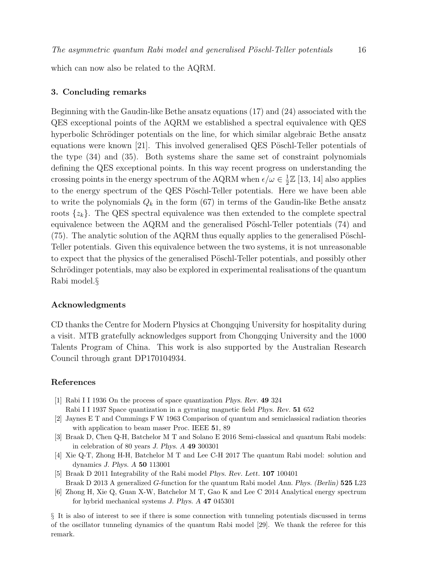which can now also be related to the AQRM.

#### 3. Concluding remarks

Beginning with the Gaudin-like Bethe ansatz equations (17) and (24) associated with the QES exceptional points of the AQRM we established a spectral equivalence with QES hyperbolic Schrödinger potentials on the line, for which similar algebraic Bethe ansatz equations were known  $[21]$ . This involved generalised QES Pöschl-Teller potentials of the type (34) and (35). Both systems share the same set of constraint polynomials defining the QES exceptional points. In this way recent progress on understanding the crossing points in the energy spectrum of the AQRM when  $\epsilon/\omega \in \frac{1}{2}$  $\frac{1}{2}\mathbb{Z}$  [13, 14] also applies to the energy spectrum of the QES Pöschl-Teller potentials. Here we have been able to write the polynomials  $Q_k$  in the form (67) in terms of the Gaudin-like Bethe ansatz roots  $\{z_k\}$ . The QES spectral equivalence was then extended to the complete spectral equivalence between the  $AQRM$  and the generalised Pöschl-Teller potentials (74) and  $(75)$ . The analytic solution of the AQRM thus equally applies to the generalised Pöschl-Teller potentials. Given this equivalence between the two systems, it is not unreasonable to expect that the physics of the generalised Pöschl-Teller potentials, and possibly other Schrödinger potentials, may also be explored in experimental realisations of the quantum Rabi model.§

#### Acknowledgments

CD thanks the Centre for Modern Physics at Chongqing University for hospitality during a visit. MTB gratefully acknowledges support from Chongqing University and the 1000 Talents Program of China. This work is also supported by the Australian Research Council through grant DP170104934.

#### References

- [1] Rabi I I 1936 On the process of space quantization Phys. Rev. 49 324 Rabi I I 1937 Space quantization in a gyrating magnetic field Phys. Rev. 51 652
- [2] Jaynes E T and Cummings F W 1963 Comparison of quantum and semiclassical radiation theories with application to beam maser Proc. IEEE 51, 89
- [3] Braak D, Chen Q-H, Batchelor M T and Solano E 2016 Semi-classical and quantum Rabi models: in celebration of 80 years J. Phys. A 49 300301
- [4] Xie Q-T, Zhong H-H, Batchelor M T and Lee C-H 2017 The quantum Rabi model: solution and dynamics J. Phys. A 50 113001
- [5] Braak D 2011 Integrability of the Rabi model Phys. Rev. Lett. 107 100401 Braak D 2013 A generalized G-function for the quantum Rabi model Ann. Phys. (Berlin) 525 L23
- [6] Zhong H, Xie Q, Guan X-W, Batchelor M T, Gao K and Lee C 2014 Analytical energy spectrum for hybrid mechanical systems J. Phys. A 47 045301

§ It is also of interest to see if there is some connection with tunneling potentials discussed in terms of the oscillator tunneling dynamics of the quantum Rabi model [29]. We thank the referee for this remark.